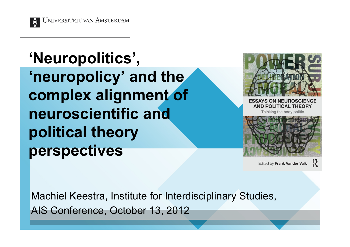

# **'Neuropolitics', 'neuropolicy' and the complex alignment of neuroscientific and political theory perspectives**



**ESSAYS ON NEUROSCIENCE AND POLITICAL THEORY** 

Thinking the body politic



Edited by Frank Vander Valk

Machiel Keestra, Institute for Interdisciplinary Studies, AIS Conference, October 13, 2012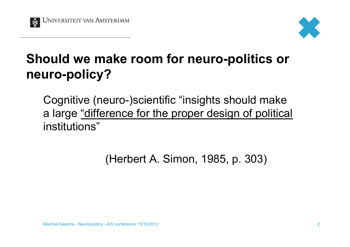



### **Should we make room for neuro-politics or neuro-policy?**

Cognitive (neuro-)scientific "insights should make a large "difference for the proper design of political institutions"

(Herbert A. Simon, 1985, p. 303)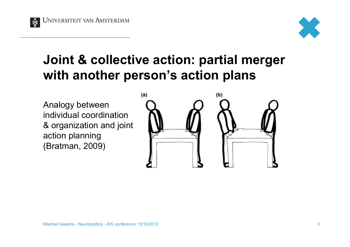



#### **Joint & collective action: partial merger with another person's action plans**

Analogy between individual coordination & organization and joint action planning (Bratman, 2009)

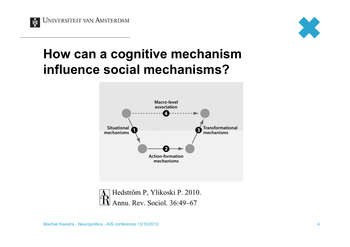



#### **How can a cognitive mechanism influence social mechanisms?**



Hedström P, Ylikoski P. 2010. Annu. Rev. Sociol. 36:49-67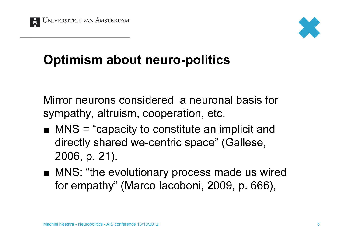



### **Optimism about neuro-politics**

Mirror neurons considered a neuronal basis for sympathy, altruism, cooperation, etc.

- $\blacksquare$  MNS = "capacity to constitute an implicit and directly shared we-centric space" (Gallese, 2006, p. 21).
- MNS: "the evolutionary process made us wired for empathy" (Marco Iacoboni, 2009, p. 666),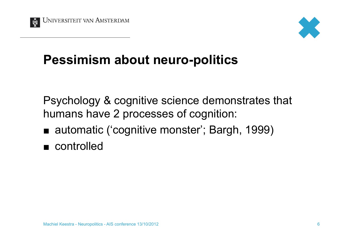



#### **Pessimism about neuro-politics**

Psychology & cognitive science demonstrates that humans have 2 processes of cognition:

- automatic ('cognitive monster'; Bargh, 1999)
- controlled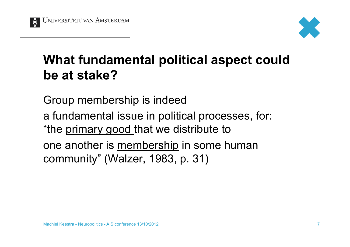



### **What fundamental political aspect could be at stake?**

Group membership is indeed

a fundamental issue in political processes, for: "the primary good that we distribute to

one another is membership in some human community" (Walzer, 1983, p. 31)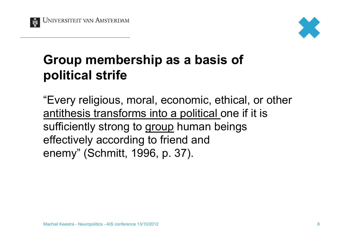



### **Group membership as a basis of political strife**

"Every religious, moral, economic, ethical, or other antithesis transforms into a political one if it is sufficiently strong to group human beings effectively according to friend and enemy" (Schmitt, 1996, p. 37).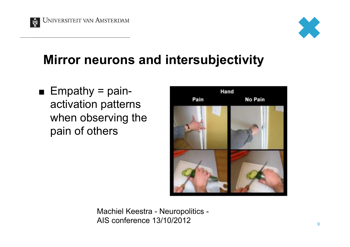



#### **Mirror neurons and intersubjectivity**

 $\blacksquare$  Empathy = painactivation patterns when observing the pain of others



Machiel Keestra - Neuropolitics - AIS conference  $13/10/2012$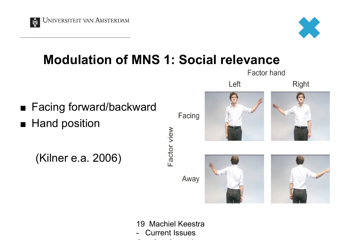



Factor hand

#### **Modulation of MNS 1: Social relevance**



19 Machiel Keestra - Current Issues Cog Sci -Sept 13,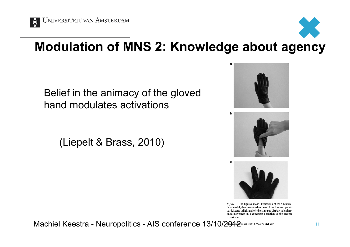

## **Modulation of MNS 2: Knowledge about agency**

Belief in the animacy of the gloved hand modulates activations

(Liepelt & Brass, 2010)







Figure 1. The figures show illustrations of (a) a humanhand model, (b) a wooden-hand model used to manipulate participants belief, and (c) the stimulus display, a leatherhand movement in a congruent condition of the present experiment.

Machiel Keestra - Neuropolitics - AIS conference 13/10/2042 metals was 57(3)221-227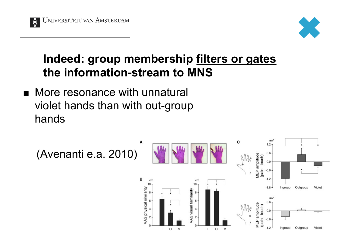



#### **Indeed: group membership filters or gates the information-stream to MNS**

**Nore resonance with unnatural** violet hands than with out-group hands

(Avenanti e.a. 2010)

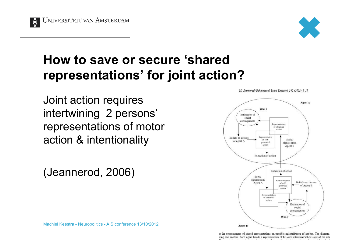



#### **How to save or secure 'shared representations' for joint action?**

Joint action requires intertwining 2 persons' representations of motor action & intentionality

(Jeannerod, 2006)



M. Jeannerod/Behavioural Brain Research 142 (2003) 1-15

Machiel Keestra - Neuropolitics - AIS conference 13/10/2012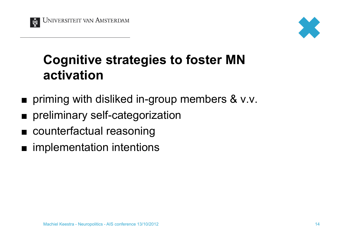



### **Cognitive strategies to foster MN activation**

- **priming with disliked in-group members & v.v.**
- **n** preliminary self-categorization
- **n** counterfactual reasoning
- implementation intentions